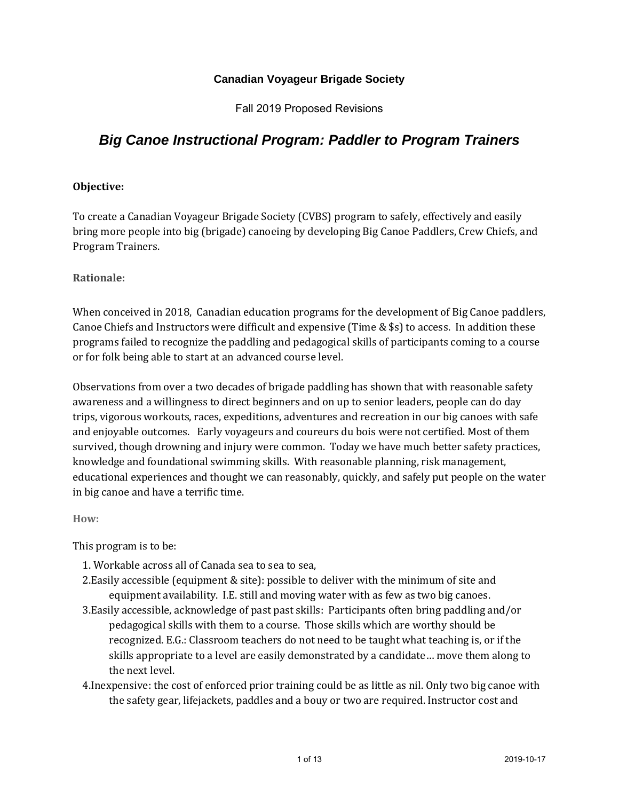# **Canadian Voyageur Brigade Society**

Fall 2019 Proposed Revisions

# *Big Canoe Instructional Program: Paddler to Program Trainers*

#### **Objective:**

To create a Canadian Voyageur Brigade Society (CVBS) program to safely, effectively and easily bring more people into big (brigade) canoeing by developing Big Canoe Paddlers, Crew Chiefs, and Program Trainers.

**Rationale:** 

When conceived in 2018, Canadian education programs for the development of Big Canoe paddlers, Canoe Chiefs and Instructors were difficult and expensive (Time & \$s) to access. In addition these programs failed to recognize the paddling and pedagogical skills of participants coming to a course or for folk being able to start at an advanced course level.

Observations from over a two decades of brigade paddling has shown that with reasonable safety awareness and a willingness to direct beginners and on up to senior leaders, people can do day trips, vigorous workouts, races, expeditions, adventures and recreation in our big canoes with safe and enjoyable outcomes. Early voyageurs and coureurs du bois were not certified. Most of them survived, though drowning and injury were common. Today we have much better safety practices, knowledge and foundational swimming skills. With reasonable planning, risk management, educational experiences and thought we can reasonably, quickly, and safely put people on the water in big canoe and have a terrific time.

**How:** 

This program is to be:

- 1. Workable across all of Canada sea to sea to sea,
- 2.Easily accessible (equipment & site): possible to deliver with the minimum of site and equipment availability. I.E. still and moving water with as few as two big canoes.
- 3.Easily accessible, acknowledge of past past skills: Participants often bring paddling and/or pedagogical skills with them to a course. Those skills which are worthy should be recognized. E.G.: Classroom teachers do not need to be taught what teaching is, or if the skills appropriate to a level are easily demonstrated by a candidate… move them along to the next level.
- 4.Inexpensive: the cost of enforced prior training could be as little as nil. Only two big canoe with the safety gear, lifejackets, paddles and a bouy or two are required. Instructor cost and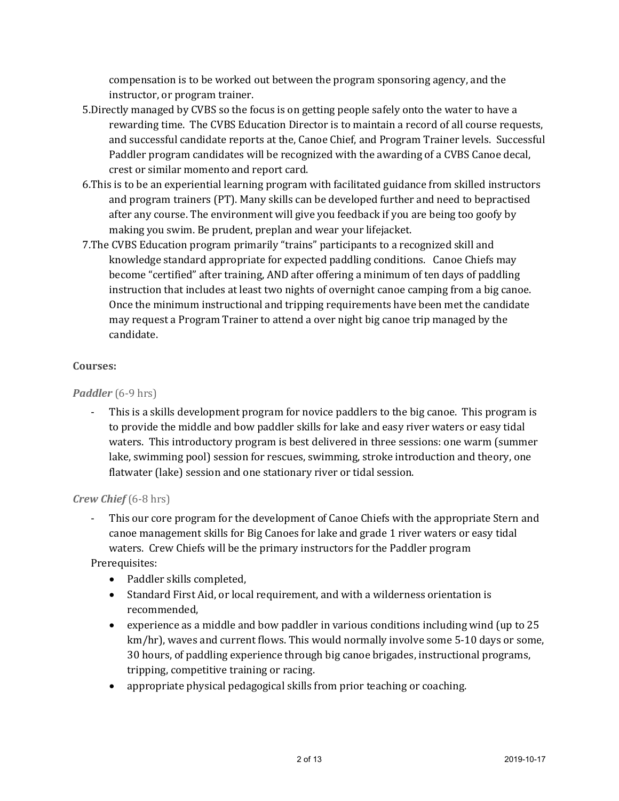compensation is to be worked out between the program sponsoring agency, and the instructor, or program trainer.

- 5.Directly managed by CVBS so the focus is on getting people safely onto the water to have a rewarding time. The CVBS Education Director is to maintain a record of all course requests, and successful candidate reports at the, Canoe Chief, and Program Trainer levels. Successful Paddler program candidates will be recognized with the awarding of a CVBS Canoe decal, crest or similar momento and report card.
- 6.This is to be an experiential learning program with facilitated guidance from skilled instructors and program trainers (PT). Many skills can be developed further and need to bepractised after any course. The environment will give you feedback if you are being too goofy by making you swim. Be prudent, preplan and wear your lifejacket.
- 7.The CVBS Education program primarily "trains" participants to a recognized skill and knowledge standard appropriate for expected paddling conditions. Canoe Chiefs may become "certified" after training, AND after offering a minimum of ten days of paddling instruction that includes at least two nights of overnight canoe camping from a big canoe. Once the minimum instructional and tripping requirements have been met the candidate may request a Program Trainer to attend a over night big canoe trip managed by the candidate.

### **Courses:**

*Paddler* (6-9 hrs)

This is a skills development program for novice paddlers to the big canoe. This program is to provide the middle and bow paddler skills for lake and easy river waters or easy tidal waters. This introductory program is best delivered in three sessions: one warm (summer lake, swimming pool) session for rescues, swimming, stroke introduction and theory, one flatwater (lake) session and one stationary river or tidal session.

*Crew Chief* (6-8 hrs)

- This our core program for the development of Canoe Chiefs with the appropriate Stern and canoe management skills for Big Canoes for lake and grade 1 river waters or easy tidal waters. Crew Chiefs will be the primary instructors for the Paddler program Prerequisites:

- Paddler skills completed, Standard First Aid, or local requirement, and with a wilderness orientation is recommended,
- experience as a middle and bow paddler in various conditions including wind (up to 25 km/hr), waves and current flows. This would normally involve some 5-10 days or some, 30 hours, of paddling experience through big canoe brigades, instructional programs, tripping, competitive training or racing.
- appropriate physical pedagogical skills from prior teaching or coaching.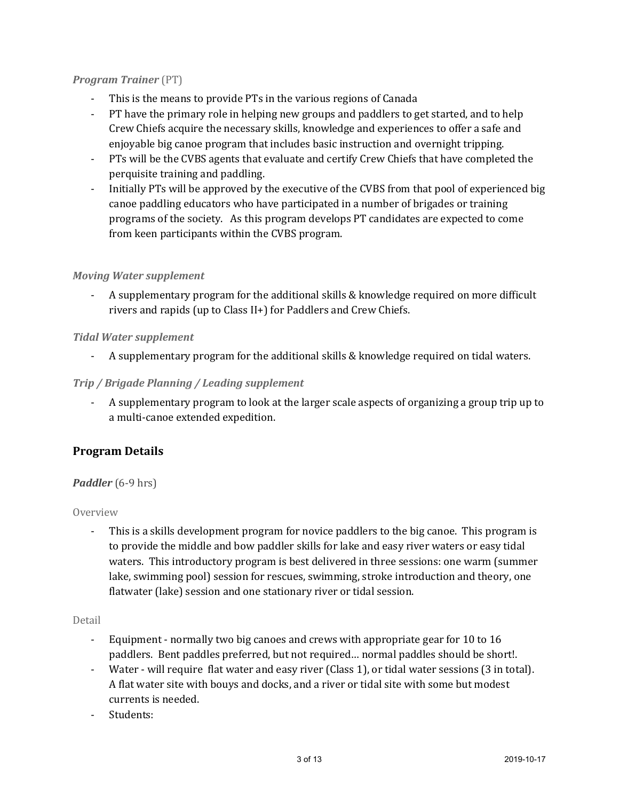### *Program Trainer* (PT)

- This is the means to provide PTs in the various regions of Canada
- PT have the primary role in helping new groups and paddlers to get started, and to help Crew Chiefs acquire the necessary skills, knowledge and experiences to offer a safe and enjoyable big canoe program that includes basic instruction and overnight tripping.
- PTs will be the CVBS agents that evaluate and certify Crew Chiefs that have completed the perquisite training and paddling.
- Initially PTs will be approved by the executive of the CVBS from that pool of experienced big canoe paddling educators who have participated in a number of brigades or training programs of the society. As this program develops PT candidates are expected to come from keen participants within the CVBS program.

# *Moving Water supplement*

- A supplementary program for the additional skills & knowledge required on more difficult rivers and rapids (up to Class II+) for Paddlers and Crew Chiefs.

# *Tidal Water supplement*

- A supplementary program for the additional skills & knowledge required on tidal waters.

# *Trip / Brigade Planning / Leading supplement*

- A supplementary program to look at the larger scale aspects of organizing a group trip up to a multi-canoe extended expedition.

# **Program Details**

### *Paddler* (6-9 hrs)

### Overview

- This is a skills development program for novice paddlers to the big canoe. This program is to provide the middle and bow paddler skills for lake and easy river waters or easy tidal waters. This introductory program is best delivered in three sessions: one warm (summer lake, swimming pool) session for rescues, swimming, stroke introduction and theory, one flatwater (lake) session and one stationary river or tidal session.

### Detail

- Equipment normally two big canoes and crews with appropriate gear for 10 to 16 paddlers. Bent paddles preferred, but not required… normal paddles should be short!.
- Water will require flat water and easy river (Class 1), or tidal water sessions (3 in total). A flat water site with bouys and docks, and a river or tidal site with some but modest currents is needed.
- Students: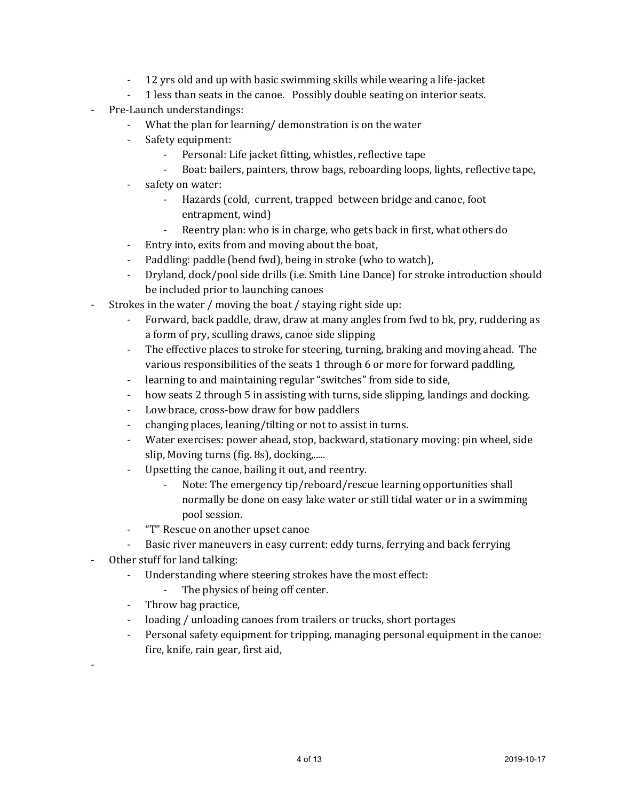- 12 yrs old and up with basic swimming skills while wearing a life-jacket
- 1 less than seats in the canoe. Possibly double seating on interior seats.
- Pre-Launch understandings:
	- What the plan for learning/ demonstration is on the water
	- Safety equipment:
		- Personal: Life jacket fitting, whistles, reflective tape
		- Boat: bailers, painters, throw bags, reboarding loops, lights, reflective tape,
	- safety on water:
		- Hazards (cold, current, trapped between bridge and canoe, foot entrapment, wind)
		- Reentry plan: who is in charge, who gets back in first, what others do
	- Entry into, exits from and moving about the boat,
	- Paddling: paddle (bend fwd), being in stroke (who to watch),
	- Dryland, dock/pool side drills (i.e. Smith Line Dance) for stroke introduction should be included prior to launching canoes
- Strokes in the water / moving the boat / staying right side up:
	- Forward, back paddle, draw, draw at many angles from fwd to bk, pry, ruddering as a form of pry, sculling draws, canoe side slipping
	- The effective places to stroke for steering, turning, braking and moving ahead. The various responsibilities of the seats 1 through 6 or more for forward paddling,
	- learning to and maintaining regular "switches" from side to side,
	- how seats 2 through 5 in assisting with turns, side slipping, landings and docking.
	- Low brace, cross-bow draw for bow paddlers
	- changing places, leaning/tilting or not to assist in turns.
	- Water exercises: power ahead, stop, backward, stationary moving: pin wheel, side slip, Moving turns (fig. 8s), docking,.....
	- Upsetting the canoe, bailing it out, and reentry.
		- Note: The emergency tip/reboard/rescue learning opportunities shall normally be done on easy lake water or still tidal water or in a swimming pool session.
	- "T" Rescue on another upset canoe
	- Basic river maneuvers in easy current: eddy turns, ferrying and back ferrying
- Other stuff for land talking:

-

- Understanding where steering strokes have the most effect:
	- The physics of being off center.
- Throw bag practice,
- loading / unloading canoes from trailers or trucks, short portages
- Personal safety equipment for tripping, managing personal equipment in the canoe: fire, knife, rain gear, first aid,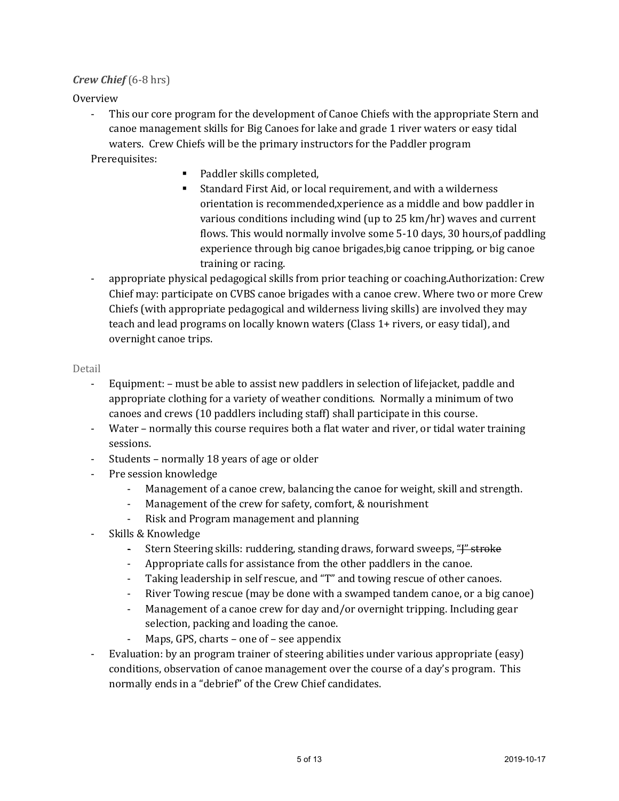### *Crew Chief* (6-8 hrs)

Overview

- This our core program for the development of Canoe Chiefs with the appropriate Stern and canoe management skills for Big Canoes for lake and grade 1 river waters or easy tidal waters. Crew Chiefs will be the primary instructors for the Paddler program

Prerequisites:

- Paddler skills completed,
- Standard First Aid, or local requirement, and with a wilderness orientation is recommended,xperience as a middle and bow paddler in various conditions including wind (up to 25 km/hr) waves and current flows. This would normally involve some 5-10 days, 30 hours,of paddling experience through big canoe brigades,big canoe tripping, or big canoe training or racing.
- appropriate physical pedagogical skills from prior teaching or coaching.Authorization: Crew Chief may: participate on CVBS canoe brigades with a canoe crew. Where two or more Crew Chiefs (with appropriate pedagogical and wilderness living skills) are involved they may teach and lead programs on locally known waters (Class 1+ rivers, or easy tidal), and overnight canoe trips.

#### Detail

- Equipment: must be able to assist new paddlers in selection of lifejacket, paddle and appropriate clothing for a variety of weather conditions. Normally a minimum of two canoes and crews (10 paddlers including staff) shall participate in this course.
- Water normally this course requires both a flat water and river, or tidal water training sessions.
- Students normally 18 years of age or older
- Pre session knowledge
	- Management of a canoe crew, balancing the canoe for weight, skill and strength.
	- Management of the crew for safety, comfort, & nourishment
	- Risk and Program management and planning
- Skills & Knowledge
	- Stern Steering skills: ruddering, standing draws, forward sweeps, "<del>J" stroke</del>
	- Appropriate calls for assistance from the other paddlers in the canoe.
	- Taking leadership in self rescue, and "T" and towing rescue of other canoes.
	- River Towing rescue (may be done with a swamped tandem canoe, or a big canoe)
	- Management of a canoe crew for day and/or overnight tripping. Including gear selection, packing and loading the canoe.
	- Maps, GPS, charts one of see appendix
- Evaluation: by an program trainer of steering abilities under various appropriate (easy) conditions, observation of canoe management over the course of a day's program. This normally ends in a "debrief" of the Crew Chief candidates.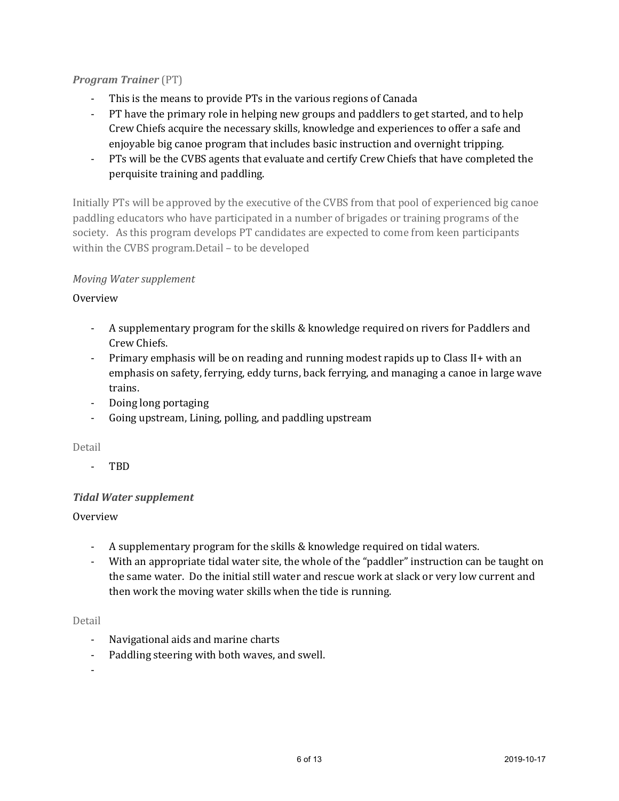# *Program Trainer* (PT)

- This is the means to provide PTs in the various regions of Canada
- PT have the primary role in helping new groups and paddlers to get started, and to help Crew Chiefs acquire the necessary skills, knowledge and experiences to offer a safe and enjoyable big canoe program that includes basic instruction and overnight tripping.
- PTs will be the CVBS agents that evaluate and certify Crew Chiefs that have completed the perquisite training and paddling.

Initially PTs will be approved by the executive of the CVBS from that pool of experienced big canoe paddling educators who have participated in a number of brigades or training programs of the society. As this program develops PT candidates are expected to come from keen participants within the CVBS program.Detail – to be developed

# *Moving Water supplement*

# Overview

- A supplementary program for the skills & knowledge required on rivers for Paddlers and Crew Chiefs.
- Primary emphasis will be on reading and running modest rapids up to Class II+ with an emphasis on safety, ferrying, eddy turns, back ferrying, and managing a canoe in large wave trains.
- Doing long portaging
- Going upstream, Lining, polling, and paddling upstream

### Detail

- TBD

# *Tidal Water supplement*

# Overview

- A supplementary program for the skills & knowledge required on tidal waters.
- With an appropriate tidal water site, the whole of the "paddler" instruction can be taught on the same water. Do the initial still water and rescue work at slack or very low current and then work the moving water skills when the tide is running.

### Detail

- Navigational aids and marine charts
- Paddling steering with both waves, and swell.

-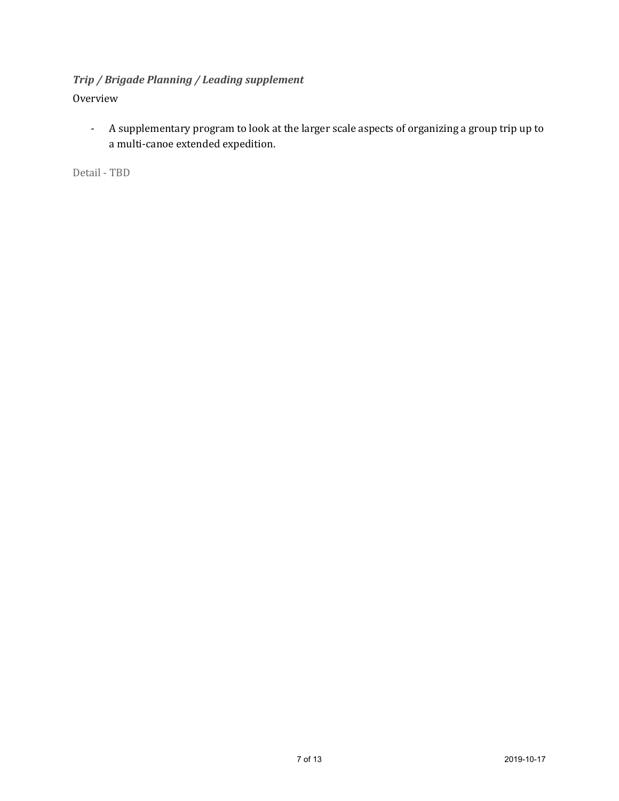# *Trip / Brigade Planning / Leading supplement*

# Overview

- A supplementary program to look at the larger scale aspects of organizing a group trip up to a multi-canoe extended expedition.

Detail - TBD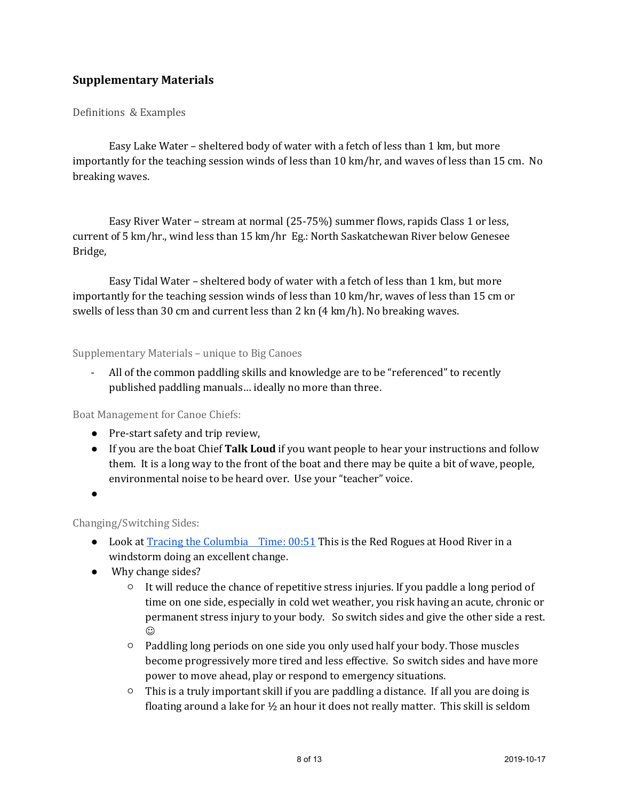# **Supplementary Materials**

#### Definitions & Examples

Easy Lake Water – sheltered body of water with a fetch of less than 1 km, but more importantly for the teaching session winds of less than 10 km/hr, and waves of less than 15 cm. No breaking waves.

Easy River Water – stream at normal (25-75%) summer flows, rapids Class 1 or less, current of 5 km/hr., wind less than 15 km/hr Eg.: North Saskatchewan River below Genesee Bridge,

Easy Tidal Water – sheltered body of water with a fetch of less than 1 km, but more importantly for the teaching session winds of less than 10 km/hr, waves of less than 15 cm or swells of less than 30 cm and current less than 2 kn (4 km/h). No breaking waves.

#### Supplementary Materials – unique to Big Canoes

All of the common paddling skills and knowledge are to be "referenced" to recently published paddling manuals… ideally no more than three.

Boat Management for Canoe Chiefs:

- Pre-start safety and trip review,
- If you are the boat Chief **Talk Loud** if you want people to hear your instructions and follow them. It is a long way to the front of the boat and there may be quite a bit of wave, people, environmental noise to be heard over. Use your "teacher" voice.
- $\bullet$

Changing/Switching Sides:

- $\bullet$  Look at [Tracing the Columbia Time: 00:51 T](https://youtu.be/YDEy9pseOfo)his is the Red Rogues at Hood River in a windstorm doing an excellent change.
- Why change sides?
	- $\circ$  It will reduce the chance of repetitive stress injuries. If you paddle a long period of time on one side, especially in cold wet weather, you risk having an acute, chronic or permanent stress injury to your body. So switch sides and give the other side a rest.  $_{\odot}$
	- Paddling long periods on one side you only used half your body. Those muscles become progressively more tired and less effective. So switch sides and have more power to move ahead, play or respond to emergency situations.
	- $\circ$  This is a truly important skill if you are paddling a distance. If all you are doing is floating around a lake for  $\frac{1}{2}$  an hour it does not really matter. This skill is seldom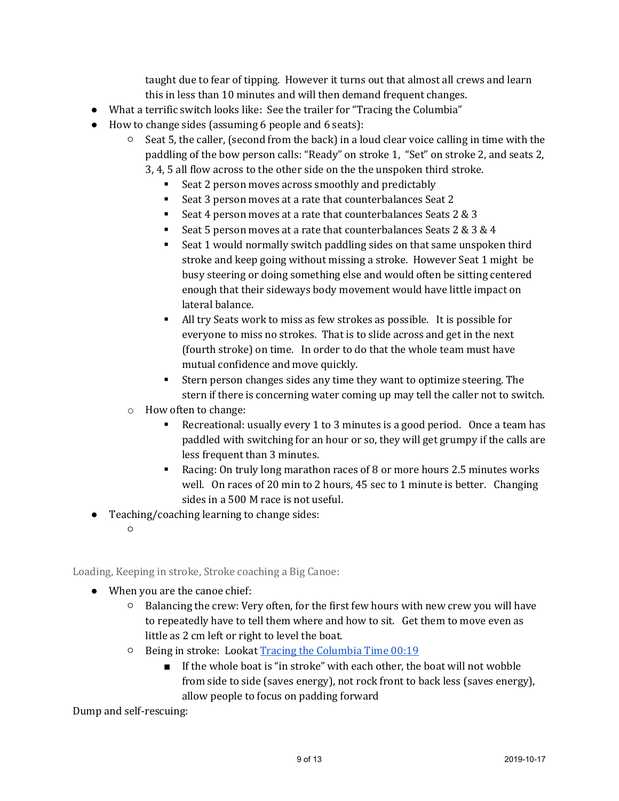taught due to fear of tipping. However it turns out that almost all crews and learn this in less than 10 minutes and will then demand frequent changes.

- What a terrific switch looks like: See the trailer for "Tracing the Columbia"
- How to change sides (assuming 6 people and 6 seats):
	- $\circ$  Seat 5, the caller, (second from the back) in a loud clear voice calling in time with the paddling of the bow person calls: "Ready" on stroke 1, "Set" on stroke 2, and seats 2, 3, 4, 5 all flow across to the other side on the the unspoken third stroke.
		- Seat 2 person moves across smoothly and predictably
		- Seat 3 person moves at a rate that counterbalances Seat 2
		- Seat 4 person moves at a rate that counterbalances Seats 2 & 3
		- Seat 5 person moves at a rate that counterbalances Seats 2 & 3 & 4
		- Seat 1 would normally switch paddling sides on that same unspoken third stroke and keep going without missing a stroke. However Seat 1 might be busy steering or doing something else and would often be sitting centered enough that their sideways body movement would have little impact on lateral balance.
		- All try Seats work to miss as few strokes as possible. It is possible for everyone to miss no strokes. That is to slide across and get in the next (fourth stroke) on time. In order to do that the whole team must have mutual confidence and move quickly.
		- Stern person changes sides any time they want to optimize steering. The stern if there is concerning water coming up may tell the caller not to switch.
	- o How often to change:
		- Recreational: usually every 1 to 3 minutes is a good period. Once a team has paddled with switching for an hour or so, they will get grumpy if the calls are less frequent than 3 minutes.
		- Racing: On truly long marathon races of 8 or more hours 2.5 minutes works well. On races of 20 min to 2 hours, 45 sec to 1 minute is better. Changing sides in a 500 M race is not useful.
- Teaching/coaching learning to change sides:
	- $\overline{O}$

Loading, Keeping in stroke, Stroke coaching a Big Canoe:

- When you are the canoe chief:
	- Balancing the crew: Very often, for the first few hours with new crew you will have to repeatedly have to tell them where and how to sit. Get them to move even as little as 2 cm left or right to level the boat.
	- Being in stroke: Looka[t Tracing the Columbia Time 00:19](https://youtu.be/YDEy9pseOfo)
		- If the whole boat is "in stroke" with each other, the boat will not wobble from side to side (saves energy), not rock front to back less (saves energy), allow people to focus on padding forward

Dump and self-rescuing: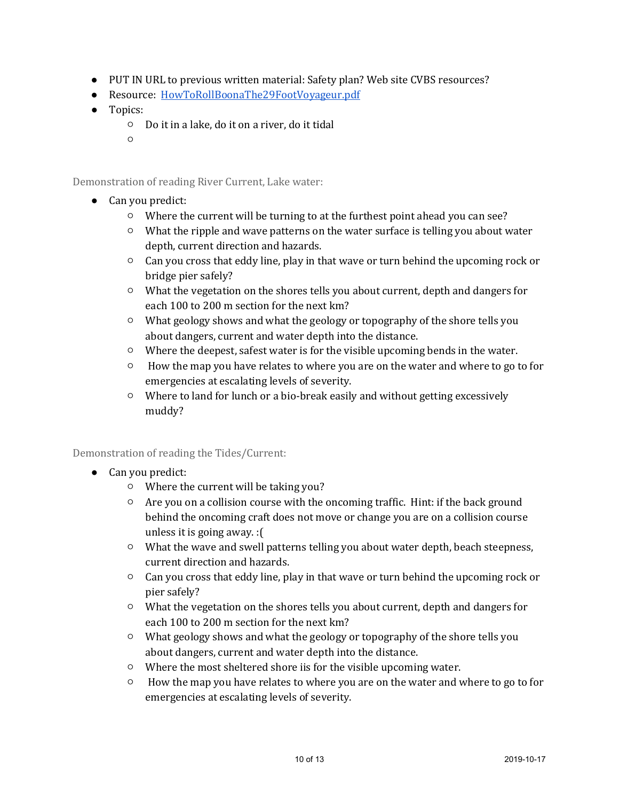- PUT IN URL to previous written material: Safety plan? Web site CVBS resources?
- Resource: [HowToRollBoonaThe29FootVoyageur.pdf](http://voyageurbrigade.org/wp-content/uploads/2017/04/HowToRollBoonaThe29FootVoyageur.pdf)
- Topics:
	- Do it in a lake, do it on a river, do it tidal
	- ○

Demonstration of reading River Current, Lake water:

- Can you predict:
	- Where the current will be turning to at the furthest point ahead you can see?
	- What the ripple and wave patterns on the water surface is telling you about water depth, current direction and hazards.
	- Can you cross that eddy line, play in that wave or turn behind the upcoming rock or bridge pier safely?
	- What the vegetation on the shores tells you about current, depth and dangers for each 100 to 200 m section for the next km?
	- What geology shows and what the geology or topography of the shore tells you about dangers, current and water depth into the distance.
	- Where the deepest, safest water is for the visible upcoming bends in the water.
	- How the map you have relates to where you are on the water and where to go to for emergencies at escalating levels of severity.
	- Where to land for lunch or a bio-break easily and without getting excessively muddy?

Demonstration of reading the Tides/Current:

- Can you predict:
	- Where the current will be taking you?
	- $\circ$  Are you on a collision course with the oncoming traffic. Hint: if the back ground behind the oncoming craft does not move or change you are on a collision course unless it is going away. :(
	- What the wave and swell patterns telling you about water depth, beach steepness, current direction and hazards.
	- Can you cross that eddy line, play in that wave or turn behind the upcoming rock or pier safely?
	- What the vegetation on the shores tells you about current, depth and dangers for each 100 to 200 m section for the next km?
	- What geology shows and what the geology or topography of the shore tells you about dangers, current and water depth into the distance.
	- Where the most sheltered shore iis for the visible upcoming water.
	- How the map you have relates to where you are on the water and where to go to for emergencies at escalating levels of severity.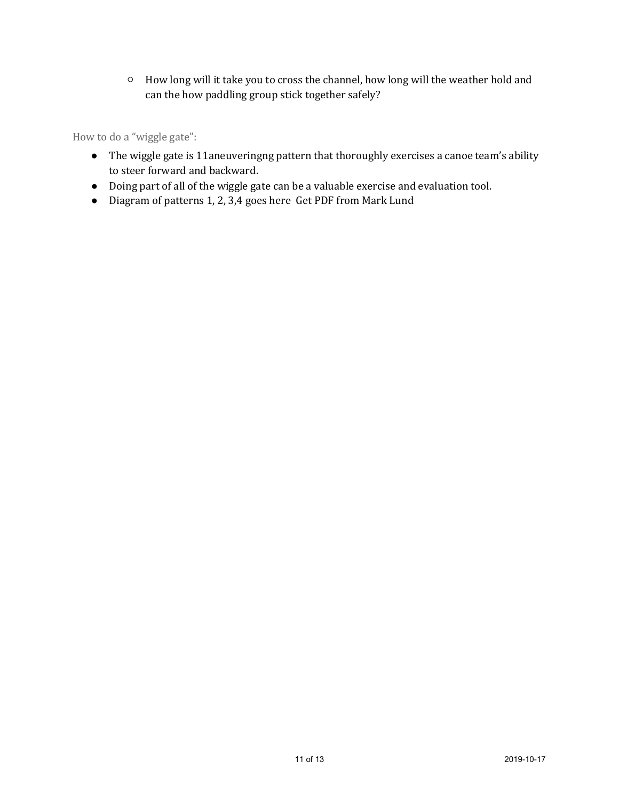○ How long will it take you to cross the channel, how long will the weather hold and can the how paddling group stick together safely?

How to do a "wiggle gate":

- The wiggle gate is 11aneuveringng pattern that thoroughly exercises a canoe team's ability to steer forward and backward.
- Doing part of all of the wiggle gate can be a valuable exercise and evaluation tool.
- Diagram of patterns 1, 2, 3,4 goes here Get PDF from Mark Lund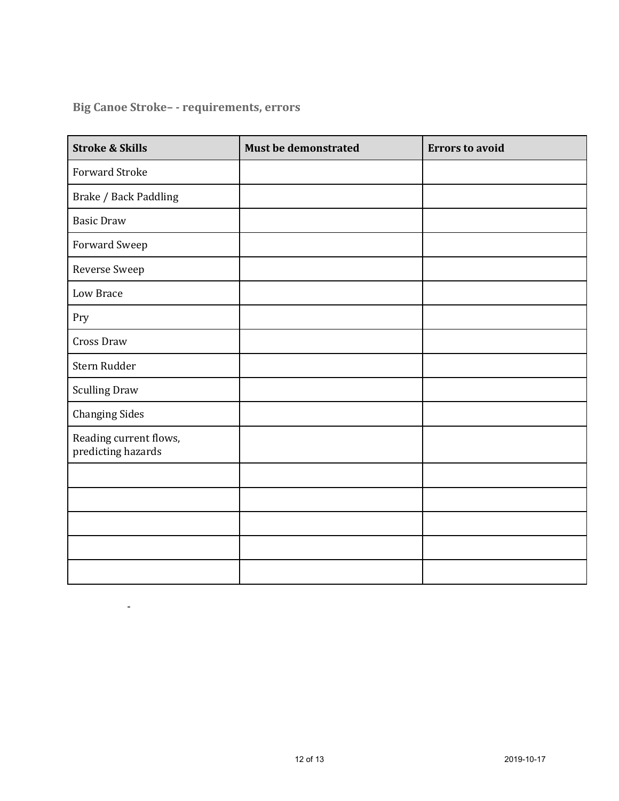# **Big Canoe Stroke– - requirements, errors**

 $\sim$  -  $\sim$ 

| <b>Stroke &amp; Skills</b>                   | <b>Must be demonstrated</b> | <b>Errors to avoid</b> |
|----------------------------------------------|-----------------------------|------------------------|
| <b>Forward Stroke</b>                        |                             |                        |
| Brake / Back Paddling                        |                             |                        |
| <b>Basic Draw</b>                            |                             |                        |
| Forward Sweep                                |                             |                        |
| Reverse Sweep                                |                             |                        |
| Low Brace                                    |                             |                        |
| Pry                                          |                             |                        |
| <b>Cross Draw</b>                            |                             |                        |
| Stern Rudder                                 |                             |                        |
| <b>Sculling Draw</b>                         |                             |                        |
| <b>Changing Sides</b>                        |                             |                        |
| Reading current flows,<br>predicting hazards |                             |                        |
|                                              |                             |                        |
|                                              |                             |                        |
|                                              |                             |                        |
|                                              |                             |                        |
|                                              |                             |                        |